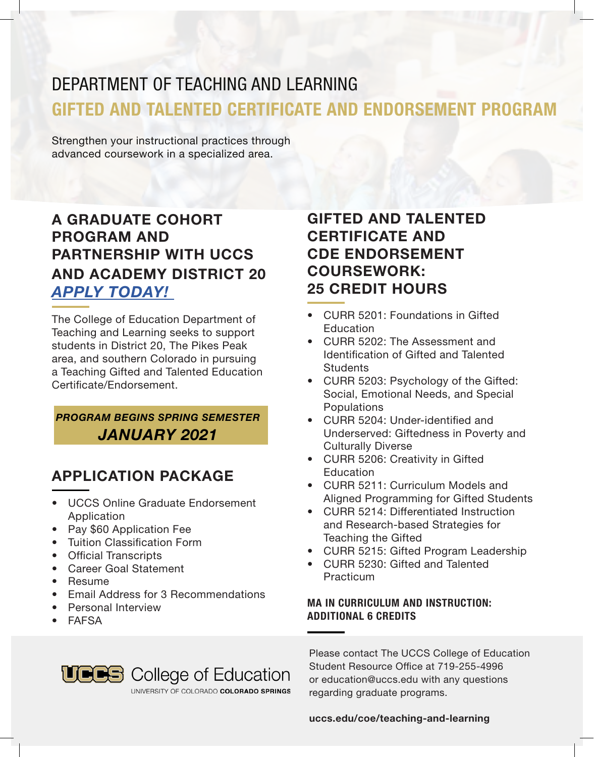# DEPARTMENT OF TEACHING AND LEARNING GIFTED AND TALENTED CERTIFICATE AND ENDORSEMENT PROGRAM

Strengthen your instructional practices through advanced coursework in a specialized area.

### A GRADUATE COHORT PROGRAM AND PARTNERSHIP WITH UCCS AND ACADEMY DISTRICT 20 *APPLY TODAY!*

The College of Education Department of Teaching and Learning seeks to support students in District 20, The Pikes Peak area, and southern Colorado in pursuing a Teaching Gifted and Talented Education Certificate/Endorsement.

*PROGRAM BEGINS SPRING SEMESTER JANUARY 2021*

### APPLICATION PACKAGE

- UCCS Online Graduate Endorsement Application
- Pay \$60 Application Fee
- Tuition Classification Form
- Official Transcripts
- Career Goal Statement
- Resume
- Email Address for 3 Recommendations
- Personal Interview
- FAFSA

### GIFTED AND TALENTED CERTIFICATE AND CDE ENDORSEMENT COURSEWORK: 25 CREDIT HOURS

- CURR 5201: Foundations in Gifted **Education**
- CURR 5202: The Assessment and Identification of Gifted and Talented **Students**
- CURR 5203: Psychology of the Gifted: Social, Emotional Needs, and Special Populations
- CURR 5204: Under-identified and Underserved: Giftedness in Poverty and Culturally Diverse
- CURR 5206: Creativity in Gifted **Education**
- CURR 5211: Curriculum Models and Aligned Programming for Gifted Students
- CURR 5214: Differentiated Instruction and Research-based Strategies for Teaching the Gifted
- CURR 5215: Gifted Program Leadership
- CURR 5230: Gifted and Talented **Practicum**

#### MA IN CURRICULUM AND INSTRUCTION: ADDITIONAL 6 CREDITS



UNIVERSITY OF COLORADO COLORADO SPRINGS

Please contact The UCCS College of Education Student Resource Office at 719-255-4996 or education@uccs.edu with any questions regarding graduate programs.

#### uccs.edu/coe/teaching-and-learning